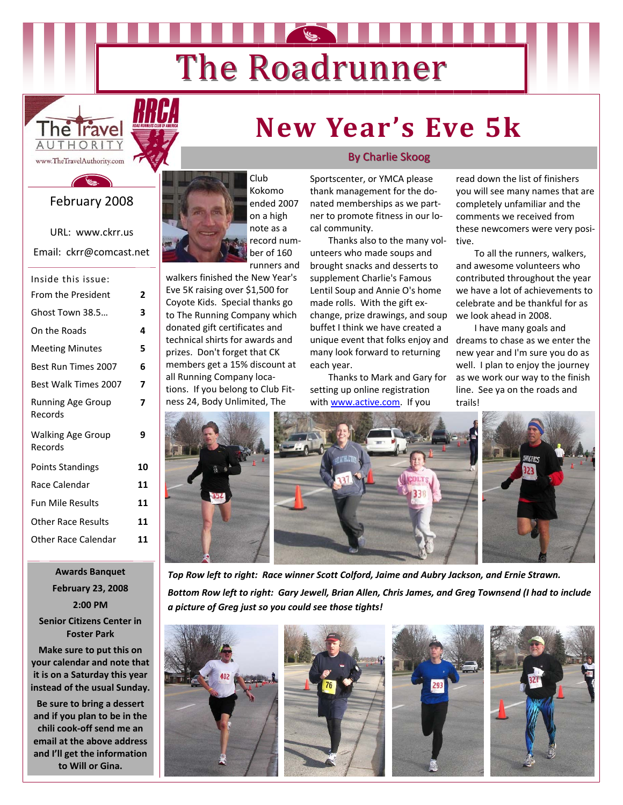# The Roadrunner



#### February 2008

URL: www.ckrr.us Email: ckrr@comcast.net

| Inside this issue:                  |    |
|-------------------------------------|----|
| <b>From the President</b>           | 2  |
| Ghost Town 38.5                     | 3  |
| On the Roads                        | 4  |
| <b>Meeting Minutes</b>              | 5  |
| Best Run Times 2007                 | 6  |
| <b>Best Walk Times 2007</b>         | 7  |
| <b>Running Age Group</b><br>Records | 7  |
| <b>Walking Age Group</b><br>Records | 9  |
| <b>Points Standings</b>             | 10 |
| Race Calendar                       | 11 |
| <b>Fun Mile Results</b>             | 11 |
| Other Race Results                  | 11 |
| <b>Other Race Calendar</b>          | 11 |
|                                     |    |

**Awards Banquet February 23, 2008 2:00 PM**

**Senior Citizens Center in Foster Park**

**Make sure to put this on your calendar and note that it is on a Saturday this year instead of the usual Sunday.**

**Be sure to bring a dessert and if you plan to be in the chili cook‐off send me an email at the above address and I'll get the information to Will or Gina.**



Club Kokomo ended 2007 on a high note as a record num‐ ber of 160 runners and

walkers finished the New Year's Eve 5K raising over \$1,500 for Coyote Kids. Special thanks go to The Running Company which donated gift certificates and technical shirts for awards and prizes. Don't forget that CK members get a 15% discount at all Running Company loca‐ tions. If you belong to Club Fit‐ ness 24, Body Unlimited, The

#### **By Charlie Skoog**

**New Year's Eve 5k**

Sportscenter, or YMCA please thank management for the do‐ nated memberships as we part‐ ner to promote fitness in our lo‐ cal community.

unique event that folks enjoy and dreams to chase as we enter the Thanks also to the many vol‐ unteers who made soups and brought snacks and desserts to supplement Charlie's Famous Lentil Soup and Annie O's home made rolls. With the gift exchange, prize drawings, and soup buffet I think we have created a many look forward to returning each year.

Thanks to Mark and Gary for setting up online registration with www.active.com. If you

read down the list of finishers you will see many names that are completely unfamiliar and the comments we received from these newcomers were very posi‐ tive.

To all the runners, walkers, and awesome volunteers who contributed throughout the year we have a lot of achievements to celebrate and be thankful for as we look ahead in 2008.

I have many goals and new year and I'm sure you do as well. I plan to enjoy the journey as we work our way to the finish line. See ya on the roads and trails!





*Top Row left to right: Race winner Scott Colford, Jaime and Aubry Jackson, and Ernie Strawn.* Bottom Row left to right: Gary Jewell, Brian Allen, Chris James, and Greg Townsend (I had to include *a picture of Greg just so you could see those tights!*







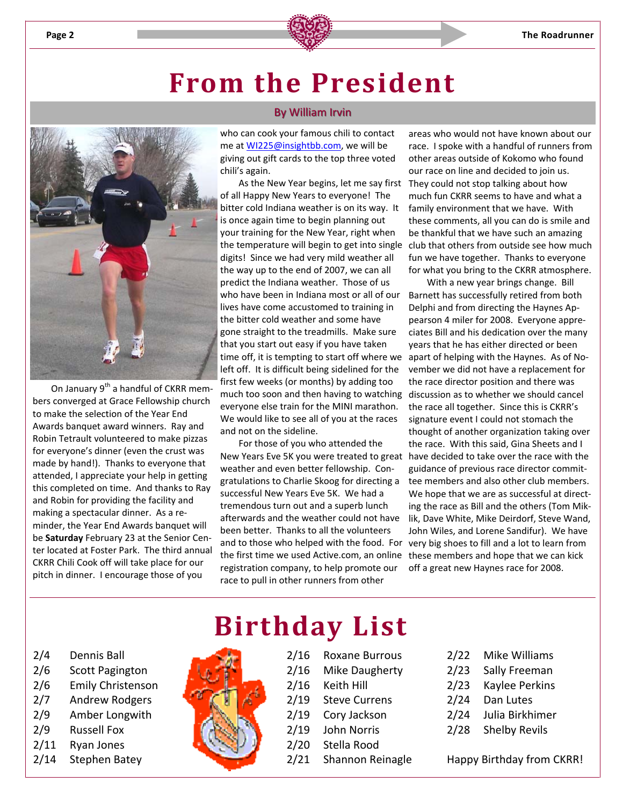

### **From the President**



On January 9<sup>th</sup> a handful of CKRR members converged at Grace Fellowship church to make the selection of the Year End Awards banquet award winners. Ray and Robin Tetrault volunteered to make pizzas for everyone's dinner (even the crust was made by hand!). Thanks to everyone that attended, I appreciate your help in getting this completed on time. And thanks to Ray and Robin for providing the facility and making a spectacular dinner. As a re‐ minder, the Year End Awards banquet will be **Saturday** February 23 at the Senior Cen‐ ter located at Foster Park. The third annual CKRR Chili Cook off will take place for our pitch in dinner. I encourage those of you

#### By William Irvin

who can cook your famous chili to contact me at **WI225@insightbb.com**, we will be giving out gift cards to the top three voted chili's again.

time off, it is tempting to start off where we apart of helping with the Haynes. As of No-As the New Year begins, let me say first of all Happy New Years to everyone! The bitter cold Indiana weather is on its way. It is once again time to begin planning out your training for the New Year, right when digits! Since we had very mild weather all the way up to the end of 2007, we can all predict the Indiana weather. Those of us who have been in Indiana most or all of our lives have come accustomed to training in the bitter cold weather and some have gone straight to the treadmills. Make sure that you start out easy if you have taken left off. It is difficult being sidelined for the first few weeks (or months) by adding too much too soon and then having to watching everyone else train for the MINI marathon. We would like to see all of you at the races and not on the sideline.

New Years Eve 5K you were treated to great have decided to take over the race with the and to those who helped with the food. For very big shoes to fill and a lot to learn from the first time we used Active.com, an online these members and hope that we can kick For those of you who attended the weather and even better fellowship. Congratulations to Charlie Skoog for directing a successful New Years Eve 5K. We had a tremendous turn out and a superb lunch afterwards and the weather could not have been better. Thanks to all the volunteers registration company, to help promote our race to pull in other runners from other

areas who would not have known about our race. I spoke with a handful of runners from other areas outside of Kokomo who found our race on line and decided to join us. They could not stop talking about how much fun CKRR seems to have and what a family environment that we have. With these comments, all you can do is smile and be thankful that we have such an amazing the temperature will begin to get into single club that others from outside see how much fun we have together. Thanks to everyone for what you bring to the CKRR atmosphere.

> With a new year brings change. Bill Barnett has successfully retired from both Delphi and from directing the Haynes Ap‐ pearson 4 miler for 2008. Everyone appre‐ ciates Bill and his dedication over the many years that he has either directed or been vember we did not have a replacement for the race director position and there was discussion as to whether we should cancel the race all together. Since this is CKRR's signature event I could not stomach the thought of another organization taking over the race. With this said, Gina Sheets and I guidance of previous race director commit‐ tee members and also other club members. We hope that we are as successful at directing the race as Bill and the others (Tom Mik‐ lik, Dave White, Mike Deirdorf, Steve Wand, John Wiles, and Lorene Sandifur). We have off a great new Haynes race for 2008.

- 2/4 Dennis Ball
- 2/6 Scott Pagington
- 2/6 Emily Christenson
- 2/7 Andrew Rodgers
- 2/9 Amber Longwith
- 2/9 Russell Fox
- 2/11 Ryan Jones
- 2/14 Stephen Batey

# **Birthday List**

- 2/16 Roxane Burrous 2/16 Mike Daugherty
- 2/16 Keith Hill
- 2/19 Steve Currens
- 2/19 Cory Jackson
- 2/19 John Norris
- 2/20 Stella Rood
- 2/21 Shannon Reinagle
	-
- 2/22 Mike Williams
- 2/23 Sally Freeman
- 2/23 Kaylee Perkins
- 2/24 Dan Lutes
- 2/24 Julia Birkhimer
- 2/28 Shelby Revils

Happy Birthday from CKRR!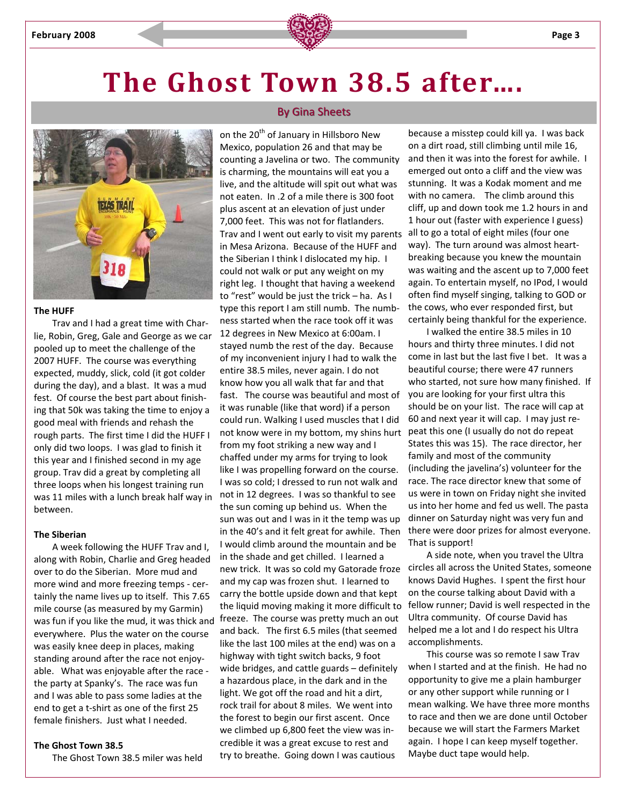



#### **The HUFF**

Trav and I had a great time with Char‐ lie, Robin, Greg, Gale and George as we car pooled up to meet the challenge of the 2007 HUFF. The course was everything expected, muddy, slick, cold (it got colder during the day), and a blast. It was a mud fest. Of course the best part about finish‐ ing that 50k was taking the time to enjoy a good meal with friends and rehash the rough parts. The first time I did the HUFF I only did two loops. I was glad to finish it this year and I finished second in my age group. Trav did a great by completing all three loops when his longest training run was 11 miles with a lunch break half way in between.

#### **The Siberian**

A week following the HUFF Trav and I, along with Robin, Charlie and Greg headed over to do the Siberian. More mud and more wind and more freezing temps ‐ cer‐ tainly the name lives up to itself. This 7.65 mile course (as measured by my Garmin) everywhere. Plus the water on the course was easily knee deep in places, making standing around after the race not enjoy‐ able. What was enjoyable after the race the party at Spanky's. The race was fun and I was able to pass some ladies at the end to get a t‐shirt as one of the first 25 female finishers. Just what I needed.

#### **The Ghost Town 38.5**

The Ghost Town 38.5 miler was held

#### By Gina Sheets

Trav and I went out early to visit my parents all to go a total of eight miles (four one was fun if you like the mud, it was thick and freeze. The course was pretty much an out on the 20<sup>th</sup> of January in Hillsboro New Mexico, population 26 and that may be counting a Javelina or two. The community is charming, the mountains will eat you a live, and the altitude will spit out what was not eaten. In .2 of a mile there is 300 foot plus ascent at an elevation of just under 7,000 feet. This was not for flatlanders. in Mesa Arizona. Because of the HUFF and the Siberian I think I dislocated my hip. I could not walk or put any weight on my right leg. I thought that having a weekend to "rest" would be just the trick – ha. As I type this report I am still numb. The numb‐ ness started when the race took off it was 12 degrees in New Mexico at 6:00am. I stayed numb the rest of the day. Because of my inconvenient injury I had to walk the entire 38.5 miles, never again. I do not know how you all walk that far and that fast. The course was beautiful and most of it was runable (like that word) if a person could run. Walking I used muscles that I did not know were in my bottom, my shins hurt from my foot striking a new way and I chaffed under my arms for trying to look like I was propelling forward on the course. I was so cold; I dressed to run not walk and not in 12 degrees. I was so thankful to see the sun coming up behind us. When the sun was out and I was in it the temp was up in the 40's and it felt great for awhile. Then I would climb around the mountain and be in the shade and get chilled. I learned a new trick. It was so cold my Gatorade froze and my cap was frozen shut. I learned to carry the bottle upside down and that kept the liquid moving making it more difficult to and back. The first 6.5 miles (that seemed like the last 100 miles at the end) was on a highway with tight switch backs, 9 foot wide bridges, and cattle guards – definitely a hazardous place, in the dark and in the light. We got off the road and hit a dirt, rock trail for about 8 miles. We went into the forest to begin our first ascent. Once we climbed up 6,800 feet the view was in‐ credible it was a great excuse to rest and try to breathe. Going down I was cautious

because a misstep could kill ya. I was back on a dirt road, still climbing until mile 16, and then it was into the forest for awhile. I emerged out onto a cliff and the view was stunning. It was a Kodak moment and me with no camera. The climb around this cliff, up and down took me 1.2 hours in and 1 hour out (faster with experience I guess) way). The turn around was almost heartbreaking because you knew the mountain was waiting and the ascent up to 7,000 feet again. To entertain myself, no IPod, I would often find myself singing, talking to GOD or the cows, who ever responded first, but certainly being thankful for the experience.

I walked the entire 38.5 miles in 10 hours and thirty three minutes. I did not come in last but the last five I bet. It was a beautiful course; there were 47 runners who started, not sure how many finished. If you are looking for your first ultra this should be on your list. The race will cap at 60 and next year it will cap. I may just re‐ peat this one (I usually do not do repeat States this was 15). The race director, her family and most of the community (including the javelina's) volunteer for the race. The race director knew that some of us were in town on Friday night she invited us into her home and fed us well. The pasta dinner on Saturday night was very fun and there were door prizes for almost everyone. That is support!

A side note, when you travel the Ultra circles all across the United States, someone knows David Hughes. I spent the first hour on the course talking about David with a fellow runner; David is well respected in the Ultra community. Of course David has helped me a lot and I do respect his Ultra accomplishments.

This course was so remote I saw Trav when I started and at the finish. He had no opportunity to give me a plain hamburger or any other support while running or I mean walking. We have three more months to race and then we are done until October because we will start the Farmers Market again. I hope I can keep myself together. Maybe duct tape would help.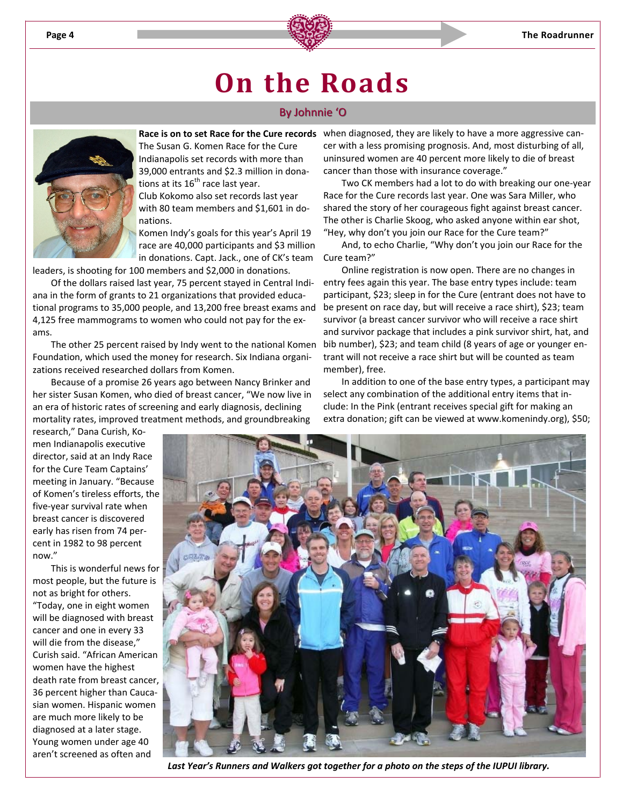

### **On the Roads**

#### By Johnnie 'O



The Susan G. Komen Race for the Cure Indianapolis set records with more than 39,000 entrants and \$2.3 million in dona‐ tions at its  $16^{th}$  race last year. Club Kokomo also set records last year

with 80 team members and \$1,601 in donations.

Komen Indy's goals for this year's April 19 race are 40,000 participants and \$3 million in donations. Capt. Jack., one of CK's team

leaders, is shooting for 100 members and \$2,000 in donations.

Of the dollars raised last year, 75 percent stayed in Central Indi‐ ana in the form of grants to 21 organizations that provided educational programs to 35,000 people, and 13,200 free breast exams and 4,125 free mammograms to women who could not pay for the ex‐ ams.

The other 25 percent raised by Indy went to the national Komen Foundation, which used the money for research. Six Indiana organi‐ zations received researched dollars from Komen.

Because of a promise 26 years ago between Nancy Brinker and her sister Susan Komen, who died of breast cancer, "We now live in an era of historic rates of screening and early diagnosis, declining mortality rates, improved treatment methods, and groundbreaking

**Race is on to set Race for the Cure records** when diagnosed, they are likely to have a more aggressive can‐ cer with a less promising prognosis. And, most disturbing of all, uninsured women are 40 percent more likely to die of breast cancer than those with insurance coverage."

> Two CK members had a lot to do with breaking our one‐year Race for the Cure records last year. One was Sara Miller, who shared the story of her courageous fight against breast cancer. The other is Charlie Skoog, who asked anyone within ear shot, "Hey, why don't you join our Race for the Cure team?"

And, to echo Charlie, "Why don't you join our Race for the Cure team?"

Online registration is now open. There are no changes in entry fees again this year. The base entry types include: team participant, \$23; sleep in for the Cure (entrant does not have to be present on race day, but will receive a race shirt), \$23; team survivor (a breast cancer survivor who will receive a race shirt and survivor package that includes a pink survivor shirt, hat, and bib number), \$23; and team child (8 years of age or younger en‐ trant will not receive a race shirt but will be counted as team member), free.

In addition to one of the base entry types, a participant may select any combination of the additional entry items that in‐ clude: In the Pink (entrant receives special gift for making an extra donation; gift can be viewed at www.komenindy.org), \$50;

research," Dana Curish, Ko‐ men Indianapolis executive director, said at an Indy Race for the Cure Team Captains' meeting in January. "Because of Komen's tireless efforts, the five‐year survival rate when breast cancer is discovered early has risen from 74 per‐ cent in 1982 to 98 percent now."

This is wonderful news for most people, but the future is not as bright for others. "Today, one in eight women will be diagnosed with breast cancer and one in every 33 will die from the disease," Curish said. "African American women have the highest death rate from breast cancer, 36 percent higher than Cauca‐ sian women. Hispanic women are much more likely to be diagnosed at a later stage. Young women under age 40 aren't screened as often and



*Last Year's Runners and Walkers got together for a photo on the steps of the IUPUI library.*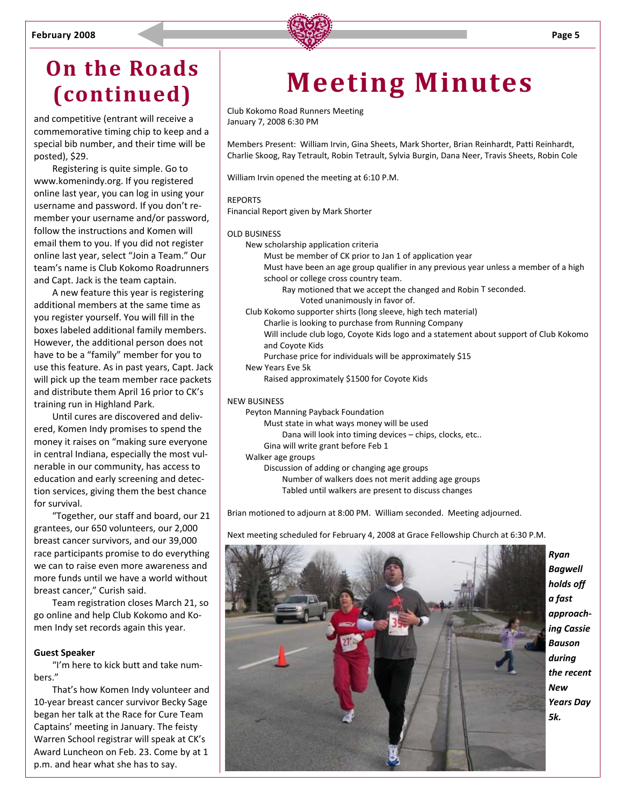

### **On the Roads (continued)**

and competitive (entrant will receive a commemorative timing chip to keep and a special bib number, and their time will be posted), \$29.

Registering is quite simple. Go to www.komenindy.org. If you registered online last year, you can log in using your username and password. If you don't re‐ member your username and/or password, follow the instructions and Komen will email them to you. If you did not register online last year, select "Join a Team." Our team's name is Club Kokomo Roadrunners and Capt. Jack is the team captain.

A new feature this year is registering additional members at the same time as you register yourself. You will fill in the boxes labeled additional family members. However, the additional person does not have to be a "family" member for you to use this feature. As in past years, Capt. Jack will pick up the team member race packets and distribute them April 16 prior to CK's training run in Highland Park.

Until cures are discovered and deliv‐ ered, Komen Indy promises to spend the money it raises on "making sure everyone in central Indiana, especially the most vul‐ nerable in our community, has access to education and early screening and detec‐ tion services, giving them the best chance for survival.

"Together, our staff and board, our 21 grantees, our 650 volunteers, our 2,000 breast cancer survivors, and our 39,000 race participants promise to do everything we can to raise even more awareness and more funds until we have a world without breast cancer," Curish said.

Team registration closes March 21, so go online and help Club Kokomo and Ko‐ men Indy set records again this year.

#### **Guest Speaker**

"I'm here to kick butt and take num‐ bers."

That's how Komen Indy volunteer and 10‐year breast cancer survivor Becky Sage began her talk at the Race for Cure Team Captains' meeting in January. The feisty Warren School registrar will speak at CK's Award Luncheon on Feb. 23. Come by at 1 p.m. and hear what she has to say.

## **Meeting Minutes**

Club Kokomo Road Runners Meeting January 7, 2008 6:30 PM

Members Present: William Irvin, Gina Sheets, Mark Shorter, Brian Reinhardt, Patti Reinhardt, Charlie Skoog, Ray Tetrault, Robin Tetrault, Sylvia Burgin, Dana Neer, Travis Sheets, Robin Cole

William Irvin opened the meeting at 6:10 P.M.

#### **REPORTS**

Financial Report given by Mark Shorter

#### OLD BUSINESS

- New scholarship application criteria
	- Must be member of CK prior to Jan 1 of application year
	- Must have been an age group qualifier in any previous year unless a member of a high school or college cross country team.
		- Ray motioned that we accept the changed and Robin T seconded. Voted unanimously in favor of.
- Club Kokomo supporter shirts (long sleeve, high tech material) Charlie is looking to purchase from Running Company Will include club logo, Coyote Kids logo and a statement about support of Club Kokomo and Coyote Kids Purchase price for individuals will be approximately \$15 New Years Eve 5k

Raised approximately \$1500 for Coyote Kids

#### NEW BUSINESS

- Peyton Manning Payback Foundation
	- Must state in what ways money will be used
	- Dana will look into timing devices chips, clocks, etc..
	- Gina will write grant before Feb 1
- Walker age groups
	- Discussion of adding or changing age groups Number of walkers does not merit adding age groups Tabled until walkers are present to discuss changes

Brian motioned to adjourn at 8:00 PM. William seconded. Meeting adjourned.

*Ryan Bagwell holds off a fast approach‐ ing Cassie Bauson during the recent New Years Day 5k.*

Next meeting scheduled for February 4, 2008 at Grace Fellowship Church at 6:30 P.M.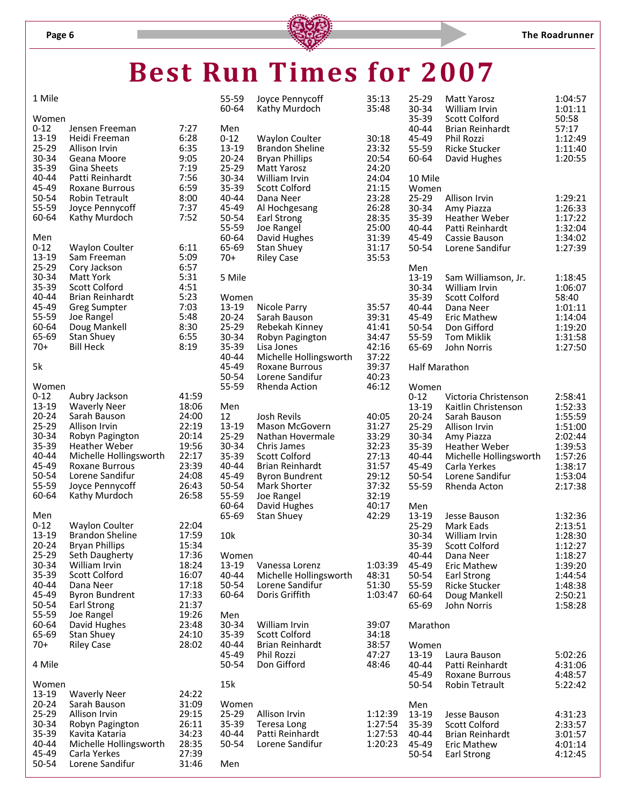# **Best Run Times for 2007**

| 1 Mile |  |
|--------|--|
|        |  |

| 1 Mile            |                                               |                | 55-59<br>60-64    | Joyce Pennycoff<br>Kathy Murdoch                | 35:13<br>35:48     | 25-29<br>30-34       | <b>Matt Yarosz</b><br>William Irvin            | 1:04:57<br>1:01:11 |
|-------------------|-----------------------------------------------|----------------|-------------------|-------------------------------------------------|--------------------|----------------------|------------------------------------------------|--------------------|
| Women<br>$0 - 12$ | Jensen Freeman                                | 7:27           | Men               |                                                 |                    | 35-39<br>$40 - 44$   | <b>Scott Colford</b><br><b>Brian Reinhardt</b> | 50:58<br>57:17     |
| 13-19<br>25-29    | Heidi Freeman<br>Allison Irvin                | 6:28<br>6:35   | $0 - 12$<br>13-19 | <b>Waylon Coulter</b><br><b>Brandon Sheline</b> | 30:18<br>23:32     | 45-49<br>55-59       | Phil Rozzi<br><b>Ricke Stucker</b>             | 1:12:49<br>1:11:40 |
| 30-34             | Geana Moore                                   | 9:05           | $20 - 24$         | <b>Bryan Phillips</b>                           | 20:54              | 60-64                | David Hughes                                   | 1:20:55            |
| 35-39             | Gina Sheets                                   | 7:19           | 25-29             | Matt Yarosz                                     | 24:20              |                      |                                                |                    |
| 40-44             | Patti Reinhardt                               | 7:56           | 30-34             | William Irvin                                   | 24:04              | 10 Mile              |                                                |                    |
| 45-49<br>50-54    | Roxane Burrous<br><b>Robin Tetrault</b>       | 6:59<br>8:00   | 35-39<br>40-44    | <b>Scott Colford</b><br>Dana Neer               | 21:15<br>23:28     | Women                | Allison Irvin                                  |                    |
| 55-59             | Joyce Pennycoff                               | 7:37           | 45-49             | Al Hochgesang                                   | 26:28              | 25-29<br>30-34       | Amy Piazza                                     | 1:29:21<br>1:26:33 |
| 60-64             | Kathy Murdoch                                 | 7:52           | 50-54             | Earl Strong                                     | 28:35              | 35-39                | <b>Heather Weber</b>                           | 1:17:22            |
|                   |                                               |                | 55-59             | Joe Rangel                                      | 25:00              | 40-44                | Patti Reinhardt                                | 1:32:04            |
| Men               |                                               |                | 60-64             | David Hughes                                    | 31:39              | 45-49                | Cassie Bauson                                  | 1:34:02            |
| $0 - 12$<br>13-19 | <b>Waylon Coulter</b><br>Sam Freeman          | 6:11<br>5:09   | 65-69<br>$70+$    | <b>Stan Shuey</b><br><b>Riley Case</b>          | 31:17<br>35:53     | 50-54                | Lorene Sandifur                                | 1:27:39            |
| 25-29             | Cory Jackson                                  | 6:57           |                   |                                                 |                    | Men                  |                                                |                    |
| 30-34             | <b>Matt York</b>                              | 5:31           | 5 Mile            |                                                 |                    | 13-19                | Sam Williamson, Jr.                            | 1:18:45            |
| 35-39             | <b>Scott Colford</b>                          | 4:51           |                   |                                                 |                    | 30-34                | William Irvin                                  | 1:06:07            |
| 40-44<br>45-49    | <b>Brian Reinhardt</b><br><b>Greg Sumpter</b> | 5:23<br>7:03   | Women<br>13-19    | Nicole Parry                                    | 35:57              | 35-39<br>$40 - 44$   | <b>Scott Colford</b><br>Dana Neer              | 58:40<br>1:01:11   |
| 55-59             | Joe Rangel                                    | 5:48           | $20 - 24$         | Sarah Bauson                                    | 39:31              | 45-49                | <b>Eric Mathew</b>                             | 1:14:04            |
| 60-64             | Doug Mankell                                  | 8:30           | 25-29             | Rebekah Kinney                                  | 41:41              | 50-54                | Don Gifford                                    | 1:19:20            |
| 65-69             | <b>Stan Shuey</b>                             | 6:55           | 30-34             | Robyn Pagington                                 | 34:47              | 55-59                | <b>Tom Miklik</b>                              | 1:31:58            |
| $70+$             | <b>Bill Heck</b>                              | 8:19           | 35-39<br>40-44    | Lisa Jones<br>Michelle Hollingsworth            | 42:16<br>37:22     | 65-69                | John Norris                                    | 1:27:50            |
| 5k                |                                               |                | 45-49             | Roxane Burrous                                  | 39:37              | <b>Half Marathon</b> |                                                |                    |
|                   |                                               |                | 50-54             | Lorene Sandifur                                 | 40:23              |                      |                                                |                    |
| Women             |                                               |                | 55-59             | <b>Rhenda Action</b>                            | 46:12              | Women                |                                                |                    |
| $0 - 12$<br>13-19 | Aubry Jackson<br><b>Waverly Neer</b>          | 41:59<br>18:06 | Men               |                                                 |                    | $0 - 12$<br>13-19    | Victoria Christenson<br>Kaitlin Christenson    | 2:58:41<br>1:52:33 |
| $20 - 24$         | Sarah Bauson                                  | 24:00          | 12                | Josh Revils                                     | 40:05              | $20 - 24$            | Sarah Bauson                                   | 1:55:59            |
| 25-29             | Allison Irvin                                 | 22:19          | 13-19             | Mason McGovern                                  | 31:27              | 25-29                | Allison Irvin                                  | 1:51:00            |
| 30-34             | Robyn Pagington                               | 20:14          | 25-29             | Nathan Hovermale                                | 33:29              | 30-34                | Amy Piazza                                     | 2:02:44            |
| 35-39<br>40-44    | Heather Weber                                 | 19:56          | 30-34             | Chris James                                     | 32:23              | 35-39                | <b>Heather Weber</b>                           | 1:39:53            |
| 45-49             | Michelle Hollingsworth<br>Roxane Burrous      | 22:17<br>23:39 | 35-39<br>40-44    | Scott Colford<br><b>Brian Reinhardt</b>         | 27:13<br>31:57     | 40-44<br>45-49       | Michelle Hollingsworth<br>Carla Yerkes         | 1:57:26<br>1:38:17 |
| 50-54             | Lorene Sandifur                               | 24:08          | 45-49             | <b>Byron Bundrent</b>                           | 29:12              | 50-54                | Lorene Sandifur                                | 1:53:04            |
| 55-59             | Joyce Pennycoff                               | 26:43          | 50-54             | Mark Shorter                                    | 37:32              | 55-59                | Rhenda Acton                                   | 2:17:38            |
| 60-64             | Kathy Murdoch                                 | 26:58          | 55-59             | Joe Rangel                                      | 32:19              |                      |                                                |                    |
| Men               |                                               |                | 60-64<br>65-69    | David Hughes<br><b>Stan Shuey</b>               | 40:17<br>42:29     | Men<br>13-19         | Jesse Bauson                                   | 1:32:36            |
| $0 - 12$          | <b>Waylon Coulter</b>                         | 22:04          |                   |                                                 |                    | 25-29                | Mark Eads                                      | 2:13:51            |
| 13-19             | <b>Brandon Sheline</b>                        | 17:59          | 10k               |                                                 |                    | 30-34                | William Irvin                                  | 1:28:30            |
| $20 - 24$         | <b>Bryan Phillips</b>                         | 15:34          |                   |                                                 |                    | 35-39                | Scott Colford                                  | 1:12:27            |
| 25-29<br>30-34    | Seth Daugherty<br>William Irvin               | 17:36<br>18:24 | Women<br>13-19    | Vanessa Lorenz                                  | 1:03:39            | 40-44<br>45-49       | Dana Neer                                      | 1:18:27<br>1:39:20 |
| 35-39             | <b>Scott Colford</b>                          | 16:07          | 40-44             | Michelle Hollingsworth                          | 48:31              | 50-54                | Eric Mathew<br><b>Earl Strong</b>              | 1:44:54            |
| 40-44             | Dana Neer                                     | 17:18          | 50-54             | Lorene Sandifur                                 | 51:30              | 55-59                | <b>Ricke Stucker</b>                           | 1:48:38            |
| 45-49             | <b>Byron Bundrent</b>                         | 17:33          | 60-64             | Doris Griffith                                  | 1:03:47            | 60-64                | Doug Mankell                                   | 2:50:21            |
| 50-54<br>55-59    | Earl Strong                                   | 21:37<br>19:26 |                   |                                                 |                    | 65-69                | John Norris                                    | 1:58:28            |
| 60-64             | Joe Rangel<br>David Hughes                    | 23:48          | Men<br>30-34      | William Irvin                                   | 39:07              | Marathon             |                                                |                    |
| 65-69             | <b>Stan Shuey</b>                             | 24:10          | 35-39             | Scott Colford                                   | 34:18              |                      |                                                |                    |
| $70+$             | <b>Riley Case</b>                             | 28:02          | 40-44             | <b>Brian Reinhardt</b>                          | 38:57              | Women                |                                                |                    |
|                   |                                               |                | 45-49             | Phil Rozzi                                      | 47:27              | 13-19                | Laura Bauson                                   | 5:02:26            |
| 4 Mile            |                                               |                | 50-54             | Don Gifford                                     | 48:46              | 40-44<br>45-49       | Patti Reinhardt<br>Roxane Burrous              | 4:31:06<br>4:48:57 |
| Women             |                                               |                | 15k               |                                                 |                    | 50-54                | <b>Robin Tetrault</b>                          | 5:22:42            |
| 13-19             | <b>Waverly Neer</b>                           | 24:22          |                   |                                                 |                    |                      |                                                |                    |
| $20 - 24$         | Sarah Bauson                                  | 31:09          | Women             |                                                 |                    | Men                  |                                                |                    |
| 25-29<br>30-34    | Allison Irvin<br>Robyn Pagington              | 29:15<br>26:11 | 25-29<br>35-39    | Allison Irvin<br>Teresa Long                    | 1:12:39<br>1:27:54 | 13-19<br>35-39       | Jesse Bauson<br>Scott Colford                  | 4:31:23<br>2:33:57 |
| 35-39             | Kavita Kataria                                | 34:23          | 40-44             | Patti Reinhardt                                 | 1:27:53            | $40 - 44$            | <b>Brian Reinhardt</b>                         | 3:01:57            |
| 40-44             | Michelle Hollingsworth                        | 28:35          | 50-54             | Lorene Sandifur                                 | 1:20:23            | 45-49                | Eric Mathew                                    | 4:01:14            |
| 45-49             | Carla Yerkes                                  | 27:39          |                   |                                                 |                    | 50-54                | <b>Earl Strong</b>                             | 4:12:45            |
| 50-54             | Lorene Sandifur                               | 31:46          | Men               |                                                 |                    |                      |                                                |                    |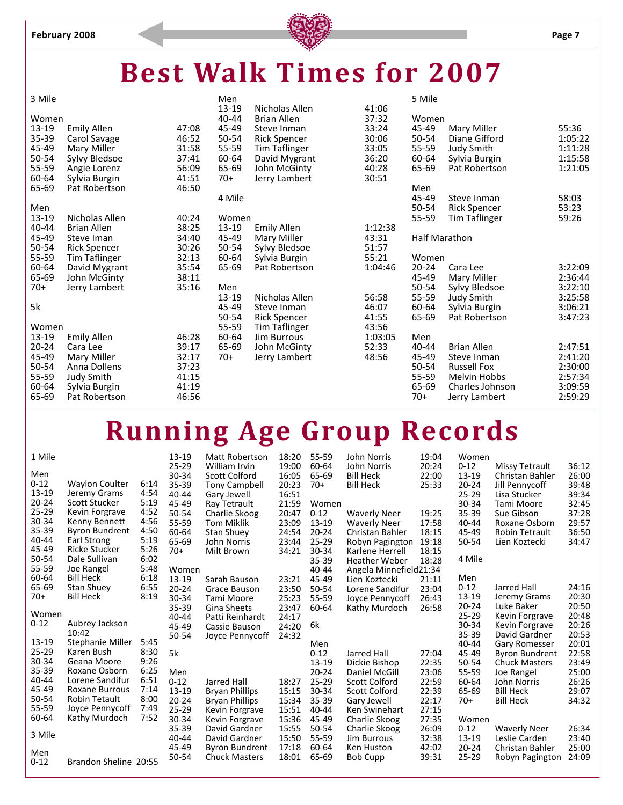

## **Best Walk Times for 2007**

| 3 Mile           |                     |       | Men            |                                      |                | 5 Mile         |                      |                |
|------------------|---------------------|-------|----------------|--------------------------------------|----------------|----------------|----------------------|----------------|
| Women            |                     |       | 13-19<br>40-44 | Nicholas Allen<br><b>Brian Allen</b> | 41:06<br>37:32 | Women          |                      |                |
| 13-19            | <b>Emily Allen</b>  | 47:08 | 45-49          | Steve Inman                          | 33:24          | 45-49          | Mary Miller          | 55:36          |
| 35-39            | Carol Savage        | 46:52 | 50-54          | <b>Rick Spencer</b>                  | 30:06          | 50-54          | Diane Gifford        | 1:05:22        |
| 45-49            | Mary Miller         | 31:58 | 55-59          | <b>Tim Taflinger</b>                 | 33:05          | 55-59          | <b>Judy Smith</b>    | 1:11:28        |
| 50-54            | Sylvy Bledsoe       | 37:41 | 60-64          | David Mygrant                        | 36:20          | 60-64          | Sylvia Burgin        | 1:15:58        |
| 55-59            | Angie Lorenz        | 56:09 | 65-69          | John McGinty                         | 40:28          | 65-69          | Pat Robertson        | 1:21:05        |
| 60-64            | Sylvia Burgin       | 41:51 | 70+            | Jerry Lambert                        | 30:51          |                |                      |                |
| 65-69            | Pat Robertson       | 46:50 |                |                                      |                | Men            |                      |                |
|                  |                     |       | 4 Mile         |                                      |                | 45-49          | Steve Inman          | 58:03          |
| Men<br>$13 - 19$ | Nicholas Allen      | 40:24 | Women          |                                      |                | 50-54<br>55-59 | <b>Rick Spencer</b>  | 53:23<br>59:26 |
| $40 - 44$        | <b>Brian Allen</b>  | 38:25 | 13-19          | <b>Emily Allen</b>                   | 1:12:38        |                | <b>Tim Taflinger</b> |                |
| 45-49            | Steve Iman          | 34:40 | 45-49          | Mary Miller                          | 43:31          | Half Marathon  |                      |                |
| 50-54            | <b>Rick Spencer</b> | 30:26 | 50-54          | Sylvy Bledsoe                        | 51:57          |                |                      |                |
| 55-59            | Tim Taflinger       | 32:13 | 60-64          | Sylvia Burgin                        | 55:21          | Women          |                      |                |
| 60-64            | David Mygrant       | 35:54 | 65-69          | Pat Robertson                        | 1:04:46        | $20 - 24$      | Cara Lee             | 3:22:09        |
| 65-69            | John McGinty        | 38:11 |                |                                      |                | 45-49          | Mary Miller          | 2:36:44        |
| $70+$            | Jerry Lambert       | 35:16 | Men            |                                      |                | 50-54          | Sylvy Bledsoe        | 3:22:10        |
|                  |                     |       | 13-19          | Nicholas Allen                       | 56:58          | 55-59          | <b>Judy Smith</b>    | 3:25:58        |
| 5k               |                     |       | 45-49          | Steve Inman                          | 46:07          | 60-64          | Sylvia Burgin        | 3:06:21        |
|                  |                     |       | 50-54          | <b>Rick Spencer</b>                  | 41:55          | 65-69          | Pat Robertson        | 3:47:23        |
| Women            |                     |       | 55-59          | <b>Tim Taflinger</b>                 | 43:56          |                |                      |                |
| $13 - 19$        | <b>Emily Allen</b>  | 46:28 | 60-64          | <b>Jim Burrous</b>                   | 1:03:05        | Men            |                      |                |
| $20 - 24$        | Cara Lee            | 39:17 | 65-69          | John McGinty                         | 52:33          | 40-44          | <b>Brian Allen</b>   | 2:47:51        |
| 45-49            | Mary Miller         | 32:17 | 70+            | Jerry Lambert                        | 48:56          | 45-49          | Steve Inman          | 2:41:20        |
| 50-54            | Anna Dollens        | 37:23 |                |                                      |                | 50-54          | <b>Russell Fox</b>   | 2:30:00        |
| 55-59            | <b>Judy Smith</b>   | 41:15 |                |                                      |                | 55-59          | <b>Melvin Hobbs</b>  | 2:57:34        |
| 60-64            | Sylvia Burgin       | 41:19 |                |                                      |                | 65-69          | Charles Johnson      | 3:09:59        |
| 65-69            | Pat Robertson       | 46:56 |                |                                      |                | $70+$          | Jerry Lambert        | 2:59:29        |
|                  |                     |       |                |                                      |                |                |                      |                |

# **Running Age Group Records**

| 1 Mile    |                       |      | 13-19     | <b>Matt Robertson</b> | 18:20 | 55-59     | John Norris            | 19:04 | Women     |                       |       |
|-----------|-----------------------|------|-----------|-----------------------|-------|-----------|------------------------|-------|-----------|-----------------------|-------|
|           |                       |      | $25 - 29$ | William Irvin         | 19:00 | 60-64     | John Norris            | 20:24 | $0 - 12$  | Missy Tetrault        | 36:12 |
| Men       |                       |      | 30-34     | Scott Colford         | 16:05 | 65-69     | <b>Bill Heck</b>       | 22:00 | 13-19     | Christan Bahler       | 26:00 |
| $0 - 12$  | <b>Waylon Coulter</b> | 6:14 | 35-39     | <b>Tony Campbell</b>  | 20:23 | $70+$     | <b>Bill Heck</b>       | 25:33 | $20 - 24$ | Jill Pennycoff        | 39:48 |
| $13 - 19$ | Jeremy Grams          | 4:54 | 40-44     | Gary Jewell           | 16:51 |           |                        |       | 25-29     | Lisa Stucker          | 39:34 |
| $20 - 24$ | Scott Stucker         | 5:19 | 45-49     | Ray Tetrault          | 21:59 | Women     |                        |       | 30-34     | Tami Moore            | 32:45 |
| $25 - 29$ | Kevin Forgrave        | 4:52 | 50-54     | Charlie Skoog         | 20:47 | $0 - 12$  | <b>Waverly Neer</b>    | 19:25 | 35-39     | Sue Gibson            | 37:28 |
| 30-34     | Kenny Bennett         | 4:56 | 55-59     | <b>Tom Miklik</b>     | 23:09 | $13 - 19$ | <b>Waverly Neer</b>    | 17:58 | 40-44     | Roxane Osborn         | 29:57 |
| 35-39     | <b>Byron Bundrent</b> | 4:50 | 60-64     | <b>Stan Shuey</b>     | 24:54 | $20 - 24$ | Christan Bahler        | 18:15 | 45-49     | <b>Robin Tetrault</b> | 36:50 |
| $40 - 44$ | Earl Strong           | 5:19 | 65-69     | John Norris           | 23:44 | 25-29     | Robyn Pagington        | 19:18 | 50-54     | Lien Koztecki         | 34:47 |
| 45-49     | <b>Ricke Stucker</b>  | 5:26 | $70+$     | Milt Brown            | 34:21 | 30-34     | Karlene Herrell        | 18:15 |           |                       |       |
| 50-54     | Dale Sullivan         | 6:02 |           |                       |       | $35 - 39$ | <b>Heather Weber</b>   | 18:28 | 4 Mile    |                       |       |
| 55-59     | Joe Rangel            | 5:48 | Women     |                       |       | 40-44     | Angela Minnefield21:34 |       |           |                       |       |
| 60-64     | <b>Bill Heck</b>      | 6:18 | $13 - 19$ | Sarah Bauson          | 23:21 | 45-49     | Lien Koztecki          | 21:11 | Men       |                       |       |
| 65-69     | <b>Stan Shuey</b>     | 6:55 | $20 - 24$ | Grace Bauson          | 23:50 | 50-54     | Lorene Sandifur        | 23:04 | $0 - 12$  | Jarred Hall           | 24:16 |
| 70+       | <b>Bill Heck</b>      | 8:19 | 30-34     | Tami Moore            | 25:23 | 55-59     | Joyce Pennycoff        | 26:43 | 13-19     | Jeremy Grams          | 20:30 |
|           |                       |      | 35-39     | <b>Gina Sheets</b>    | 23:47 | 60-64     | Kathy Murdoch          | 26:58 | 20-24     | Luke Baker            | 20:50 |
| Women     |                       |      | 40-44     | Patti Reinhardt       | 24:17 |           |                        |       | $25 - 29$ | Kevin Forgrave        | 20:48 |
| $0 - 12$  | Aubrey Jackson        |      | 45-49     | Cassie Bauson         | 24:20 | 6k        |                        |       | 30-34     | Kevin Forgrave        | 20:26 |
|           | 10:42                 |      | 50-54     | Joyce Pennycoff       | 24:32 |           |                        |       | 35-39     | David Gardner         | 20:53 |
| 13-19     | Stephanie Miller      | 5:45 |           |                       |       | Men       |                        |       | 40-44     | <b>Gary Romesser</b>  | 20:01 |
| $25 - 29$ | Karen Bush            | 8:30 | 5k        |                       |       | $0 - 12$  | Jarred Hall            | 27:04 | 45-49     | <b>Byron Bundrent</b> | 22:58 |
| 30-34     | Geana Moore           | 9:26 |           |                       |       | 13-19     | Dickie Bishop          | 22:35 | 50-54     | <b>Chuck Masters</b>  | 23:49 |
| 35-39     | Roxane Osborn         | 6:25 | Men       |                       |       | $20 - 24$ | Daniel McGill          | 23:06 | 55-59     | Joe Rangel            | 25:00 |
| $40 - 44$ | Lorene Sandifur       | 6:51 | $0 - 12$  | Jarred Hall           | 18:27 | $25 - 29$ | <b>Scott Colford</b>   | 22:59 | 60-64     | John Norris           | 26:26 |
| 45-49     | Roxane Burrous        | 7:14 | 13-19     | <b>Bryan Phillips</b> | 15:15 | 30-34     | <b>Scott Colford</b>   | 22:39 | 65-69     | <b>Bill Heck</b>      | 29:07 |
| 50-54     | <b>Robin Tetault</b>  | 8:00 | $20 - 24$ | Bryan Phillips        | 15:34 | 35-39     | Gary Jewell            | 22:17 | $70+$     | <b>Bill Heck</b>      | 34:32 |
| 55-59     | Joyce Pennycoff       | 7:49 | $25 - 29$ | Kevin Forgrave        | 15:51 | 40-44     | Ken Swinehart          | 27:15 |           |                       |       |
| 60-64     | Kathy Murdoch         | 7:52 | 30-34     | Kevin Forgrave        | 15:36 | 45-49     | Charlie Skoog          | 27:35 | Women     |                       |       |
|           |                       |      | 35-39     | David Gardner         | 15:55 | 50-54     | Charlie Skoog          | 26:09 | $0 - 12$  | <b>Waverly Neer</b>   | 26:34 |
| 3 Mile    |                       |      | 40-44     | David Gardner         | 15:50 | 55-59     | <b>Jim Burrous</b>     | 32:38 | 13-19     | Leslie Carden         | 23:40 |
| Men       |                       |      | 45-49     | <b>Byron Bundrent</b> | 17:18 | 60-64     | Ken Huston             | 42:02 | $20 - 24$ | Christan Bahler       | 25:00 |
| $0 - 12$  | Brandon Sheline 20:55 |      | 50-54     | <b>Chuck Masters</b>  | 18:01 | 65-69     | <b>Bob Cupp</b>        | 39:31 | $25 - 29$ | Robyn Pagington       | 24:09 |
|           |                       |      |           |                       |       |           |                        |       |           |                       |       |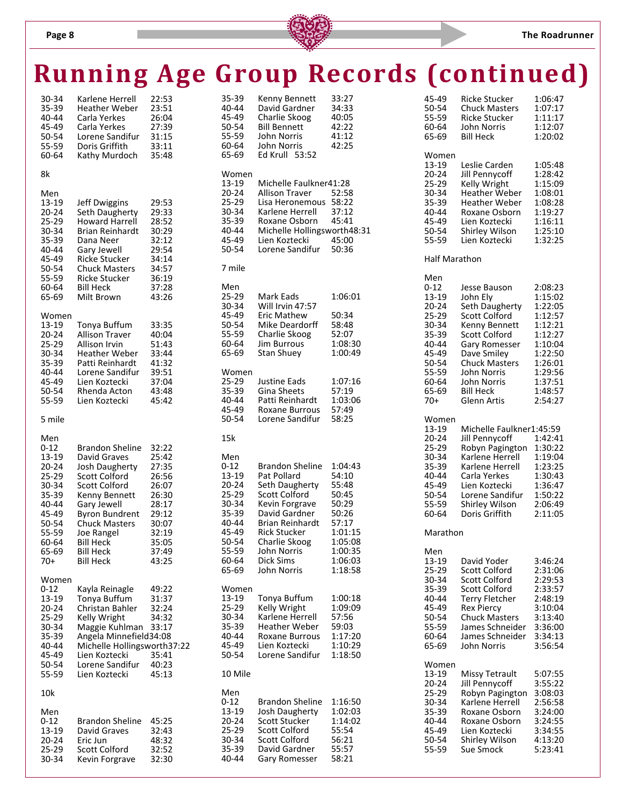#### **Page 8 The Roadrunner**

|                        |                                              |                |                 |                                      | <b>Running Age Group Records (continued)</b> |                      |                                               |                    |
|------------------------|----------------------------------------------|----------------|-----------------|--------------------------------------|----------------------------------------------|----------------------|-----------------------------------------------|--------------------|
| 30-34                  | Karlene Herrell                              | 22:53          | 35-39           | Kenny Bennett                        | 33:27                                        | 45-49                | <b>Ricke Stucker</b>                          | 1:06:47            |
| 35-39<br>40-44         | <b>Heather Weber</b>                         | 23:51<br>26:04 | 40-44<br>45-49  | David Gardner                        | 34:33<br>40:05                               | 50-54<br>55-59       | <b>Chuck Masters</b><br><b>Ricke Stucker</b>  | 1:07:17            |
| 45-49                  | Carla Yerkes<br>Carla Yerkes                 | 27:39          | 50-54           | Charlie Skoog<br><b>Bill Bennett</b> | 42:22                                        | 60-64                | John Norris                                   | 1:11:17<br>1:12:07 |
| 50-54                  | Lorene Sandifur                              | 31:15          | 55-59           | John Norris                          | 41:12                                        | 65-69                | <b>Bill Heck</b>                              | 1:20:02            |
| 55-59                  | Doris Griffith                               | 33:11          | 60-64           | John Norris                          | 42:25                                        |                      |                                               |                    |
| 60-64                  | Kathy Murdoch                                | 35:48          | 65-69           | Ed Krull 53:52                       |                                              | Women                |                                               |                    |
| 8k                     |                                              |                | Women           |                                      |                                              | 13-19<br>$20 - 24$   | Leslie Carden<br>Jill Pennycoff               | 1:05:48<br>1:28:42 |
|                        |                                              |                | 13-19           | Michelle Faulkner41:28               |                                              | 25-29                | Kelly Wright                                  | 1:15:09            |
| Men                    |                                              |                | $20 - 24$       | Allison Traver                       | 52:58                                        | 30-34                | <b>Heather Weber</b>                          | 1:08:01            |
| 13-19                  | Jeff Dwiggins                                | 29:53          | 25-29           | Lisa Heronemous 58:22                |                                              | 35-39                | <b>Heather Weber</b>                          | 1:08:28            |
| $20 - 24$<br>25-29     | Seth Daugherty<br><b>Howard Harrell</b>      | 29:33<br>28:52 | 30-34<br>35-39  | Karlene Herrell<br>Roxane Osborn     | 37:12<br>45:41                               | 40-44<br>45-49       | Roxane Osborn<br>Lien Koztecki                | 1:19:27<br>1:16:11 |
| 30-34                  | Brian Reinhardt                              | 30:29          | 40-44           | Michelle Hollingsworth48:31          |                                              | 50-54                | <b>Shirley Wilson</b>                         | 1:25:10            |
| 35-39                  | Dana Neer                                    | 32:12          | 45-49           | Lien Koztecki                        | 45:00                                        | 55-59                | Lien Koztecki                                 | 1:32:25            |
| 40-44                  | Gary Jewell                                  | 29:54          | 50-54           | Lorene Sandifur                      | 50:36                                        |                      |                                               |                    |
| 45-49<br>50-54         | Ricke Stucker                                | 34:14<br>34:57 | 7 mile          |                                      |                                              | <b>Half Marathon</b> |                                               |                    |
| 55-59                  | <b>Chuck Masters</b><br><b>Ricke Stucker</b> | 36:19          |                 |                                      |                                              | Men                  |                                               |                    |
| 60-64                  | <b>Bill Heck</b>                             | 37:28          | Men             |                                      |                                              | $0 - 12$             | Jesse Bauson                                  | 2:08:23            |
| 65-69                  | Milt Brown                                   | 43:26          | 25-29           | Mark Eads                            | 1:06:01                                      | 13-19                | John Ely                                      | 1:15:02            |
|                        |                                              |                | 30-34<br>45-49  | Will Irvin 47:57                     |                                              | $20 - 24$            | Seth Daugherty                                | 1:22:05            |
| Women<br>13-19         | Tonya Buffum                                 | 33:35          | 50-54           | Eric Mathew<br>Mike Deardorff        | 50:34<br>58:48                               | $25-29$<br>30-34     | <b>Scott Colford</b><br>Kenny Bennett         | 1:12:57<br>1:12:21 |
| $20 - 24$              | <b>Allison Traver</b>                        | 40:04          | 55-59           | Charlie Skoog                        | 52:07                                        | 35-39                | <b>Scott Colford</b>                          | 1:12:27            |
| 25-29                  | Allison Irvin                                | 51:43          | 60-64           | <b>Jim Burrous</b>                   | 1:08:30                                      | 40-44                | <b>Gary Romesser</b>                          | 1:10:04            |
| 30-34                  | Heather Weber                                | 33:44          | 65-69           | <b>Stan Shuey</b>                    | 1:00:49                                      | 45-49                | Dave Smiley                                   | 1:22:50            |
| 35-39<br>40-44         | Patti Reinhardt<br>Lorene Sandifur           | 41:32<br>39:51 | Women           |                                      |                                              | 50-54<br>55-59       | <b>Chuck Masters</b><br>John Norris           | 1:26:01<br>1:29:56 |
| 45-49                  | Lien Koztecki                                | 37:04          | 25-29           | Justine Eads                         | 1:07:16                                      | 60-64                | John Norris                                   | 1:37:51            |
| 50-54                  | Rhenda Acton                                 | 43:48          | 35-39           | Gina Sheets                          | 57:19                                        | 65-69                | <b>Bill Heck</b>                              | 1:48:57            |
| 55-59                  | Lien Koztecki                                | 45:42          | 40-44           | Patti Reinhardt                      | 1:03:06                                      | $70+$                | Glenn Artis                                   | 2:54:27            |
| 5 mile                 |                                              |                | 45-49<br>50-54  | Roxane Burrous<br>Lorene Sandifur    | 57:49<br>58:25                               | Women                |                                               |                    |
|                        |                                              |                |                 |                                      |                                              | 13-19                | Michelle Faulkner1:45:59                      |                    |
| Men                    |                                              |                | 15k             |                                      |                                              | $20 - 24$            | Jill Pennycoff                                | 1:42:41            |
| $0 - 12$               | <b>Brandon Sheline</b>                       | 32:22          |                 |                                      |                                              | 25-29                | Robyn Pagington 1:30:22                       |                    |
| $13 - 19$<br>$20 - 24$ | David Graves<br>Josh Daugherty               | 25:42<br>27:35 | Men<br>$0 - 12$ | <b>Brandon Sheline</b>               | 1:04:43                                      | 30-34<br>$35 - 39$   | Karlene Herrell<br>Karlene Herrell            | 1:19:04<br>1:23:25 |
| 25-29                  | Scott Colford                                | 26:56          | 13-19           | Pat Pollard                          | 54:10                                        | 40-44                | Carla Yerkes                                  | 1:30:43            |
| 30-34                  | <b>Scott Colford</b>                         | 26:07          | $20 - 24$       | Seth Daugherty                       | 55:48                                        | 45-49                | Lien Koztecki                                 | 1:36:47            |
| 35-39<br>$40 - 44$     | Kenny Bennett                                | 26:30          | 25-29<br>30-34  | Scott Colford                        | 50:45<br>50:29                               | 50-54                | Lorene Sandifur                               | 1:50:22            |
| 45-49                  | Gary Jewell<br>Byron Bundrent                | 28:17<br>29:12 | 35-39           | Kevin Forgrave<br>David Gardner      | 50:26                                        | 55-59<br>60-64       | <b>Shirley Wilson</b><br>Doris Griffith       | 2:06:49<br>2:11:05 |
| 50-54                  | <b>Chuck Masters</b>                         | 30:07          | 40-44           | Brian Reinhardt                      | 57:17                                        |                      |                                               |                    |
| 55-59                  | Joe Rangel                                   | 32:19          | 45-49           | <b>Rick Stucker</b>                  | 1:01:15                                      | Marathon             |                                               |                    |
| 60-64<br>65-69         | <b>Bill Heck</b><br><b>Bill Heck</b>         | 35:05          | 50-54<br>55-59  | Charlie Skoog<br>John Norris         | 1:05:08<br>1:00:35                           |                      |                                               |                    |
| $70+$                  | <b>Bill Heck</b>                             | 37:49<br>43:25 | 60-64           | Dick Sims                            | 1:06:03                                      | Men<br>13-19         | David Yoder                                   | 3:46:24            |
|                        |                                              |                | 65-69           | John Norris                          | 1:18:58                                      | 25-29                | Scott Colford                                 | 2:31:06            |
| Women                  |                                              |                |                 |                                      |                                              | 30-34                | Scott Colford                                 | 2:29:53            |
| $0 - 12$<br>13-19      | Kayla Reinagle<br>Tonya Buffum               | 49:22<br>31:37 | Women<br>13-19  | Tonya Buffum                         | 1:00:18                                      | 35-39<br>40-44       | <b>Scott Colford</b><br><b>Terry Fletcher</b> | 2:33:57<br>2:48:19 |
| $20 - 24$              | Christan Bahler                              | 32:24          | $25 - 29$       | Kelly Wright                         | 1:09:09                                      | 45-49                | <b>Rex Piercy</b>                             | 3:10:04            |
| 25-29                  | Kelly Wright                                 | 34:32          | 30-34           | Karlene Herrell                      | 57:56                                        | 50-54                | <b>Chuck Masters</b>                          | 3:13:40            |
| 30-34                  | Maggie Kuhlman 33:17                         |                | 35-39           | <b>Heather Weber</b>                 | 59:03                                        | 55-59                | James Schneider 3:36:00                       |                    |
| 35-39<br>40-44         | Angela Minnefield34:08                       |                | 40-44<br>45-49  | Roxane Burrous<br>Lien Koztecki      | 1:17:20<br>1:10:29                           | 60-64                | James Schneider                               | 3:34:13            |
| 45-49                  | Michelle Hollingsworth37:22<br>Lien Koztecki | 35:41          | 50-54           | Lorene Sandifur                      | 1:18:50                                      | 65-69                | John Norris                                   | 3:56:54            |
| 50-54                  | Lorene Sandifur                              | 40:23          |                 |                                      |                                              | Women                |                                               |                    |
| 55-59                  | Lien Koztecki                                | 45:13          | 10 Mile         |                                      |                                              | 13-19                | Missy Tetrault                                | 5:07:55            |
|                        |                                              |                | Men             |                                      |                                              | $20 - 24$<br>25-29   | Jill Pennycoff<br>Robyn Pagington 3:08:03     | 3:55:22            |
| 10k                    |                                              |                | $0 - 12$        | <b>Brandon Sheline</b>               | 1:16:50                                      | 30-34                | Karlene Herrell                               | 2:56:58            |
| Men                    |                                              |                | 13-19           | <b>Josh Daugherty</b>                | 1:02:03                                      | 35-39                | Roxane Osborn                                 | 3:24:00            |
| $0 - 12$               | <b>Brandon Sheline</b>                       | 45:25          | $20 - 24$       | Scott Stucker                        | 1:14:02                                      | 40-44                | Roxane Osborn                                 | 3:24:55            |
| 13-19<br>$20 - 24$     | David Graves<br>Eric Jun                     | 32:43<br>48:32 | 25-29<br>30-34  | Scott Colford<br>Scott Colford       | 55:54<br>56:21                               | 45-49<br>50-54       | Lien Koztecki<br>Shirley Wilson               | 3:34:55<br>4:13:20 |
| 25-29                  | <b>Scott Colford</b>                         | 32:52          | 35-39           | David Gardner                        | 55:57                                        | 55-59                | Sue Smock                                     | 5:23:41            |
| 30-34                  | Kevin Forgrave                               | 32:30          | 40-44           | Gary Romesser                        | 58:21                                        |                      |                                               |                    |

| 45-49<br>50-54<br>55-59<br>60-64<br>65-69                                                                                 | <b>Ricke Stucker</b><br><b>Chuck Masters</b><br><b>Ricke Stucker</b><br>John Norris<br><b>Bill Heck</b>                                                                                                                       | 1:06:47<br>1:07:17<br>1:11:17<br>1:12:07<br>1:20:02                                                                                         |
|---------------------------------------------------------------------------------------------------------------------------|-------------------------------------------------------------------------------------------------------------------------------------------------------------------------------------------------------------------------------|---------------------------------------------------------------------------------------------------------------------------------------------|
| Women<br>13-19<br>20-24<br>25-29<br>30-34<br>35-39<br>40-44<br>45-49<br>50-54<br>55-59                                    | Leslie Carden<br>Jill Pennycoff<br>Kelly Wright<br><b>Heather Weber</b><br><b>Heather Weber</b><br>Roxane Osborn<br>Lien Koztecki<br>Shirley Wilson<br>Lien Koztecki                                                          | 1:05:48<br>1:28:42<br>1:15:09<br>1:08:01<br>1:08:28<br>1:19:27<br>1:16:11<br>1:25:10<br>1:32:25                                             |
| Half Marathon                                                                                                             |                                                                                                                                                                                                                               |                                                                                                                                             |
| Men<br>0-12<br>13-19<br>$20 - 24$<br>25-29<br>30-34<br>35-39<br>40-44<br>45-49<br>50-54<br>55-59<br>60-64<br>65-69<br>70+ | Jesse Bauson<br>John Ely<br>Seth Daugherty<br>Scott Colford<br>Kenny Bennett<br>Scott Colford<br>Gary Romesser<br>Dave Smiley<br><b>Chuck Masters</b><br><b>John Norris</b><br>John Norris<br><b>Bill Heck</b><br>Glenn Artis | 2:08:23<br>1:15:02<br>1:22:05<br>1:12:57<br>1:12:21<br>1:12:27<br>1:10:04<br>1:22:50<br>1:26:01<br>1:29:56<br>1:37:51<br>1:48:57<br>2:54:27 |
| Women<br>13-19<br>20-24<br>25-29<br>30-34<br>35-39<br>40-44<br>45-49<br>50-54<br>55-59<br>60-64                           | Michelle Faulkner1:45:59<br>Jill Pennycoff<br>Robyn Pagington<br>Karlene Herrell<br>Karlene Herrell<br>Carla Yerkes<br>Lien Koztecki<br>Lorene Sandifur<br>Shirley Wilson<br>Doris Griffith                                   | 1:42:41<br>1:30:22<br>1:19:04<br>1:23:25<br>1:30:43<br>1:36:47<br>1:50:22<br>2:06:49<br>2:11:05                                             |
| Marathon                                                                                                                  |                                                                                                                                                                                                                               |                                                                                                                                             |
| Men<br>13-19<br>25-29<br>30-34<br>35-39<br>40-44<br>45-49<br>50-54<br>55-59<br>60-64<br>65-69                             | David Yoder<br>Scott Colford<br>Scott Colford<br>Scott Colford<br><b>Terry Fletcher</b><br>Rex Piercy<br><b>Chuck Masters</b><br>James Schneider<br>James Schneider<br>John Norris                                            | 3:46:24<br>2:31:06<br>2:29:53<br>2:33:57<br>2:48:19<br>3:10:04<br>3:13:40<br>3:36:00<br>3:34:13<br>3:56:54                                  |
| Women<br>13-19<br>20-24<br>25-29<br>30-34<br>35-39<br>40-44<br>45-49<br>50-54                                             | <b>Missy Tetrault</b><br>Jill Pennycoff<br>Robyn Pagington<br>Karlene Herrell<br>Roxane Osborn<br>Roxane Osborn<br>Lien Koztecki<br>Shirley Wilson                                                                            | 5:07:55<br>3:55:22<br>3:08:03<br>2:56:58<br>3:24:00<br>3:24:55<br>3:34:55<br>4:13:20                                                        |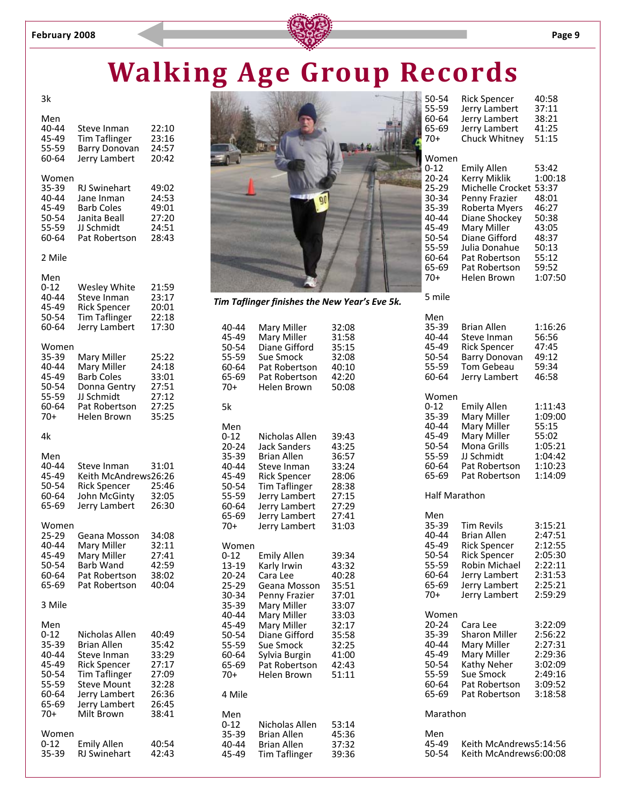

#### 3k

| Men<br>40-44<br>45-49<br>55-59<br>60-64                                                 | Steve Inman<br><b>Tim Taflinger</b><br><b>Barry Donovan</b><br>Jerry Lambert                                                                                             | 22:10<br>23:16<br>24:57<br>20:42                                              |
|-----------------------------------------------------------------------------------------|--------------------------------------------------------------------------------------------------------------------------------------------------------------------------|-------------------------------------------------------------------------------|
| Women<br>35-39<br>40-44<br>45-49<br>50-54<br>55-59<br>60-64                             | <b>RJ Swinehart</b><br>Jane Inman<br><b>Barb Coles</b><br>Janita Beall<br>JJ Schmidt<br>Pat Robertson                                                                    | 49:02<br>24:53<br>49:01<br>27:20<br>24:51<br>28:43                            |
| 2 Mile                                                                                  |                                                                                                                                                                          |                                                                               |
| Men<br>$0 - 12$<br>40-44<br>45-49<br>50-54<br>60-64                                     | Wesley White<br>Steve Inman<br><b>Rick Spencer</b><br><b>Tim Taflinger</b><br>Jerry Lambert                                                                              | 21:59<br>23:17<br>20:01<br>22:18<br>17:30                                     |
| Women<br>35-39<br>40-44<br>45-49<br>50-54<br>55-59<br>60-64<br>$70+$                    | Mary Miller<br>Mary Miller<br><b>Barb Coles</b><br>Donna Gentry<br>JJ Schmidt<br>Pat Robertson<br>Helen Brown                                                            | 25:22<br>24:18<br>33:01<br>27:51<br>27:12<br>27:25<br>35:25                   |
| 4k                                                                                      |                                                                                                                                                                          |                                                                               |
| Men<br>40-44<br>45-49<br>50-54<br>60-64<br>65-69                                        | Steve Inman<br>Keith McAndrews26:26<br><b>Rick Spencer</b><br>John McGinty<br>Jerry Lambert                                                                              | 31:01<br>25:46<br>32:05<br>26:30                                              |
| Women<br>25-29<br>40-44<br>45-49<br>50-54<br>60-64<br>65-69                             | Geana Mosson<br>Mary Miller<br>Mary Miller<br>Barb Wand<br>Pat Robertson<br>Pat Robertson                                                                                | 34:08<br>32:11<br>27:41<br>42:59<br>38:02<br>40:04                            |
| 3 Mile                                                                                  |                                                                                                                                                                          |                                                                               |
| Men<br>$0 - 12$<br>35-39<br>40-44<br>45-49<br>50-54<br>55-59<br>60-64<br>65-69<br>$70+$ | Nicholas Allen<br><b>Brian Allen</b><br>Steve Inman<br><b>Rick Spencer</b><br><b>Tim Taflinger</b><br><b>Steve Mount</b><br>Jerry Lambert<br>Jerry Lambert<br>Milt Brown | 40:49<br>35:42<br>33:29<br>27:17<br>27:09<br>32:28<br>26:36<br>26:45<br>38:41 |
| Women<br>0-12<br>35-39                                                                  | <b>Emily Allen</b><br>RJ Swinehart                                                                                                                                       | 40:54<br>42:43                                                                |



*Tim Taflinger finishes the New Year's Eve 5k.*

| 40-44<br>45-49<br>50-54<br>55-59<br>60-64<br>65-69<br>$70+$                                                                       | Mary Miller<br>Mary Miller<br>Diane Gifford<br>Sue Smock<br>Pat Robertson<br>Pat Robertson<br>Helen Brown                                                                                                  | 32:08<br>31:58<br>35:15<br>32:08<br>40:10<br>42:20<br>50:08                                                       |
|-----------------------------------------------------------------------------------------------------------------------------------|------------------------------------------------------------------------------------------------------------------------------------------------------------------------------------------------------------|-------------------------------------------------------------------------------------------------------------------|
| 5k                                                                                                                                |                                                                                                                                                                                                            |                                                                                                                   |
| Men<br>$0 - 12$<br>20-24<br>35-39<br>40-44<br>45-49<br>50-54<br>55-59<br>60-64<br>65-69<br>$70+$                                  | Nicholas Allen<br><b>Jack Sanders</b><br><b>Brian Allen</b><br>Steve Inman<br><b>Rick Spencer</b><br><b>Tim Taflinger</b><br>Jerry Lambert<br>Jerry Lambert<br>Jerry Lambert<br>Jerry Lambert              | 39:43<br>43:25<br>36:57<br>33:24<br>28:06<br>28:38<br>27:15<br>27:29<br>27:41<br>31:03                            |
| Women<br>$0 - 12$<br>13-19<br>$20 - 24$<br>25-29<br>30-34<br>35-39<br>40-44<br>45-49<br>50-54<br>55-59<br>60-64<br>65-69<br>$70+$ | <b>Emily Allen</b><br>Karly Irwin<br>Cara Lee<br>Geana Mosson<br>Penny Frazier<br>Mary Miller<br>Mary Miller<br>Mary Miller<br>Diane Gifford<br>Sue Smock<br>Sylvia Burgin<br>Pat Robertson<br>Helen Brown | 39:34<br>43:32<br>40:28<br>35:51<br>37:01<br>33:07<br>33:03<br>32:17<br>35:58<br>32:25<br>41:00<br>42:43<br>51:11 |
| 4 Mile                                                                                                                            |                                                                                                                                                                                                            |                                                                                                                   |
| Men<br>$0 - 12$<br>35-39<br>40-44<br>45-49                                                                                        | Nicholas Allen<br><b>Brian Allen</b><br><b>Brian Allen</b><br><b>Tim Taflinger</b>                                                                                                                         | 53:14<br>45:36<br>37:32<br>39:36                                                                                  |

| 50-54 | <b>Rick Spencer</b> | 40:58 |
|-------|---------------------|-------|
| 55-59 | Jerry Lambert       | 37:11 |
| 60-64 | Jerry Lambert       | 38:21 |
| 65-69 | Jerry Lambert       | 41:25 |
| 70+   | Chuck Whitney       | 51:15 |
| Women |                     |       |
| 0-12  | <b>Emily Allen</b>  | 53:42 |
|       | .                   | .  .  |

|       | _                      |         |
|-------|------------------------|---------|
| 20-24 | Kerry Miklik           | 1:00:18 |
| 25-29 | Michelle Crocket 53:37 |         |
| 30-34 | Penny Frazier          | 48:01   |
| 35-39 | Roberta Myers          | 46:27   |
| 40-44 | Diane Shockey          | 50:38   |
| 45-49 | Mary Miller            | 43:05   |
| 50-54 | Diane Gifford          | 48:37   |
| 55-59 | Julia Donahue          | 50:13   |
| 60-64 | Pat Robertson          | 55:12   |
| 65-69 | Pat Robertson          | 59:52   |
| 70+   | Helen Brown            | 1:07:50 |
|       |                        |         |

| ۰, | ۹ |  |
|----|---|--|

| Men<br>35-39<br>40-44<br>45-49<br>50-54<br>55-59<br>60-64                         | <b>Brian Allen</b><br>Steve Inman<br><b>Rick Spencer</b><br><b>Barry Donovan</b><br>Tom Gebeau<br>Jerry Lambert                                                  | 1:16:26<br>56:56<br>47:45<br>49:12<br>59:34<br>46:58                                 |
|-----------------------------------------------------------------------------------|------------------------------------------------------------------------------------------------------------------------------------------------------------------|--------------------------------------------------------------------------------------|
| Women<br>$0 - 12$<br>35-39<br>40-44<br>45-49<br>50-54<br>55-59<br>60-64<br>65-69  | <b>Emily Allen</b><br>Mary Miller<br>Mary Miller<br>Mary Miller<br>Mona Grills<br>JJ Schmidt<br>Pat Robertson<br>Pat Robertson                                   | 1:11:43<br>1:09:00<br>55:15<br>55:02<br>1:05:21<br>1:04:42<br>1:10:23<br>1:14:09     |
| <b>Half Marathon</b>                                                              |                                                                                                                                                                  |                                                                                      |
| Men<br>35-39<br>40-44<br>45-49<br>50-54<br>55-59<br>60-64<br>65-69<br>$70+$       | <b>Tim Revils</b><br><b>Brian Allen</b><br><b>Rick Spencer</b><br><b>Rick Spencer</b><br><b>Robin Michael</b><br>Jerry Lambert<br>Jerry Lambert<br>Jerry Lambert | 3:15:21<br>2:47:51<br>2:12:55<br>2:05:30<br>2:22:11<br>2:31:53<br>2:25:21<br>2:59:29 |
| Women<br>$20 - 24$<br>35-39<br>40-44<br>45-49<br>50-54<br>55-59<br>60-64<br>65-69 | Cara Lee<br><b>Sharon Miller</b><br>Mary Miller<br>Mary Miller<br>Kathy Neher<br><b>Sue Smock</b><br>Pat Robertson<br>Pat Robertson                              | 3:22:09<br>2:56:22<br>2:27:31<br>2:29:36<br>3:02:09<br>2:49:16<br>3:09:52<br>3:18:58 |
| Marathon                                                                          |                                                                                                                                                                  |                                                                                      |
| Men<br>45-49<br>50-54                                                             | Keith McAndrews5:14:56<br>Keith McAndrews6:00:08                                                                                                                 |                                                                                      |
|                                                                                   |                                                                                                                                                                  |                                                                                      |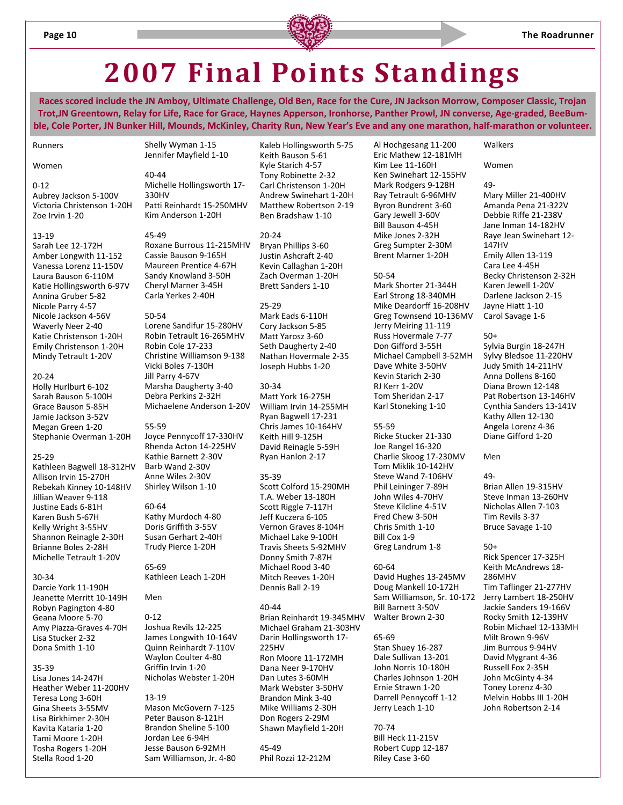

### **2007 Final Points Standings**

Races scored include the JN Amboy, Ultimate Challenge, Old Ben, Race for the Cure, JN Jackson Morrow, Composer Classic, Trojan Trot, JN Greentown, Relay for Life, Race for Grace, Haynes Apperson, Ironhorse, Panther Prowl, JN converse, Age-graded, BeeBumble, Cole Porter, JN Bunker Hill, Mounds, McKinley, Charity Run, New Year's Eve and any one marathon, half-marathon or volunteer.

Runners

#### Women

#### $0 - 12$

Aubrey Jackson 5‐100V Victoria Christenson 1‐20H Zoe Irvin 1‐20

#### 13‐19

Sarah Lee 12‐172H Amber Longwith 11‐152 Vanessa Lorenz 11‐150V Laura Bauson 6‐110M Katie Hollingsworth 6‐97V Annina Gruber 5‐82 Nicole Parry 4‐57 Nicole Jackson 4‐56V Waverly Neer 2‐40 Katie Christenson 1‐20H Emily Christenson 1‐20H Mindy Tetrault 1‐20V

#### 20‐24

Holly Hurlburt 6‐102 Sarah Bauson 5‐100H Grace Bauson 5‐85H Jamie Jackson 3‐52V Megan Green 1‐20 Stephanie Overman 1‐20H

#### 25‐29

Kathleen Bagwell 18‐312HV Allison Irvin 15‐270H Rebekah Kinney 10‐148HV Jillian Weaver 9‐118 Justine Eads 6‐81H Karen Bush 5‐67H Kelly Wright 3‐55HV Shannon Reinagle 2‐30H Brianne Boles 2‐28H Michelle Tetrault 1‐20V

#### 30‐34

Darcie York 11‐190H Jeanette Merritt 10‐149H Robyn Pagington 4‐80 Geana Moore 5‐70 Amy Piazza‐Graves 4‐70H Lisa Stucker 2‐32 Dona Smith 1‐10

#### 35‐39

Lisa Jones 14‐247H Heather Weber 11‐200HV Teresa Long 3‐60H Gina Sheets 3‐55MV Lisa Birkhimer 2‐30H Kavita Kataria 1‐20 Tami Moore 1‐20H Tosha Rogers 1‐20H Stella Rood 1‐20

40‐44 Michelle Hollingsworth 17‐ 330HV Patti Reinhardt 15‐250MHV Kim Anderson 1‐20H

Shelly Wyman 1‐15 Jennifer Mayfield 1‐10

45‐49 Roxane Burrous 11‐215MHV Cassie Bauson 9‐165H Maureen Prentice 4‐67H Sandy Knowland 3‐50H Cheryl Marner 3‐45H Carla Yerkes 2‐40H

#### 50‐54

Lorene Sandifur 15‐280HV Robin Tetrault 16‐265MHV Robin Cole 17‐233 Christine Williamson 9‐138 Vicki Boles 7‐130H Jill Parry 4‐67V Marsha Daugherty 3‐40 Debra Perkins 2‐32H Michaelene Anderson 1‐20V

#### 55‐59

Joyce Pennycoff 17‐330HV Rhenda Acton 14‐225HV Kathie Barnett 2‐30V Barb Wand 2‐30V Anne Wiles 2‐30V Shirley Wilson 1‐10

60‐64 Kathy Murdoch 4‐80 Doris Griffith 3‐55V Susan Gerhart 2‐40H Trudy Pierce 1‐20H

65‐69 Kathleen Leach 1‐20H

#### Men  $0 - 12$

Joshua Revils 12‐225 James Longwith 10‐164V Quinn Reinhardt 7‐110V Waylon Coulter 4‐80 Griffin Irvin 1‐20 Nicholas Webster 1‐20H

#### 13‐19

Mason McGovern 7‐125 Peter Bauson 8‐121H Brandon Sheline 5‐100 Jordan Lee 6‐94H Jesse Bauson 6‐92MH Sam Williamson, Jr. 4‐80 Kaleb Hollingsworth 5‐75 Keith Bauson 5‐61 Kyle Starich 4‐57 Tony Robinette 2‐32 Carl Christenson 1‐20H Andrew Swinehart 1‐20H Matthew Robertson 2‐19 Ben Bradshaw 1‐10

20‐24 Bryan Phillips 3‐60 Justin Ashcraft 2‐40 Kevin Callaghan 1‐20H Zach Overman 1‐20H Brett Sanders 1‐10

#### 25‐29

Mark Eads 6‐110H Cory Jackson 5‐85 Matt Yarosz 3‐60 Seth Daugherty 2‐40 Nathan Hovermale 2‐35 Joseph Hubbs 1‐20

#### 30‐34

Matt York 16‐275H William Irvin 14‐255MH Ryan Bagwell 17‐231 Chris James 10‐164HV Keith Hill 9‐125H David Reinagle 5‐59H Ryan Hanlon 2‐17

#### 35‐39

Scott Colford 15‐290MH T.A. Weber 13‐180H Scott Riggle 7‐117H Jeff Kuczera 6‐105 Vernon Graves 8‐104H Michael Lake 9‐100H Travis Sheets 5‐92MHV Donny Smith 7‐87H Michael Rood 3‐40 Mitch Reeves 1‐20H Dennis Ball 2‐19

#### 40‐44

Brian Reinhardt 19‐345MHV Michael Graham 21‐303HV Darin Hollingsworth 17‐ 225HV Ron Moore 11‐172MH Dana Neer 9‐170HV Dan Lutes 3‐60MH Mark Webster 3‐50HV Brandon Mink 3‐40 Mike Williams 2‐30H Don Rogers 2‐29M Shawn Mayfield 1‐20H

45‐49 Phil Rozzi 12‐212M Al Hochgesang 11‐200 Eric Mathew 12‐181MH Kim Lee 11‐160H Ken Swinehart 12‐155HV Mark Rodgers 9‐128H Ray Tetrault 6‐96MHV Byron Bundrent 3‐60 Gary Jewell 3‐60V Bill Bauson 4‐45H Mike Jones 2‐32H Greg Sumpter 2‐30M Brent Marner 1‐20H

#### 50‐54

Mark Shorter 21‐344H Earl Strong 18‐340MH Mike Deardorff 16‐208HV Greg Townsend 10‐136MV Jerry Meiring 11‐119 Russ Hovermale 7‐77 Don Gifford 3‐55H Michael Campbell 3‐52MH Dave White 3‐50HV Kevin Starich 2‐30 RJ Kerr 1‐20V Tom Sheridan 2‐17 Karl Stoneking 1‐10

#### 55‐59

Ricke Stucker 21‐330 Joe Rangel 16‐320 Charlie Skoog 17‐230MV Tom Miklik 10‐142HV Steve Wand 7‐106HV Phil Leininger 7‐89H John Wiles 4‐70HV Steve Kilcline 4‐51V Fred Chew 3‐50H Chris Smith 1‐10 Bill Cox 1‐9 Greg Landrum 1‐8

#### 60‐64

David Hughes 13‐245MV Doug Mankell 10‐172H Sam Williamson, Sr. 10‐172 Bill Barnett 3‐50V Walter Brown 2‐30

#### 65‐69

Stan Shuey 16‐287 Dale Sullivan 13‐201 John Norris 10‐180H Charles Johnson 1‐20H Ernie Strawn 1‐20 Darrell Pennycoff 1‐12 Jerry Leach 1‐10

70‐74 Bill Heck 11‐215V Robert Cupp 12‐187 Riley Case 3‐60

#### Walkers

#### Women

49‐ Mary Miller 21‐400HV Amanda Pena 21‐322V Debbie Riffe 21‐238V Jane Inman 14‐182HV Raye Jean Swinehart 12‐ 147HV Emily Allen 13‐119 Cara Lee 4‐45H Becky Christenson 2‐32H Karen Jewell 1‐20V Darlene Jackson 2‐15 Jayne Hiatt 1‐10 Carol Savage 1‐6

#### 50+

Sylvia Burgin 18‐247H Sylvy Bledsoe 11‐220HV Judy Smith 14‐211HV Anna Dollens 8‐160 Diana Brown 12‐148 Pat Robertson 13‐146HV Cynthia Sanders 13‐141V Kathy Allen 12‐130 Angela Lorenz 4‐36 Diane Gifford 1‐20

#### Men

49‐ Brian Allen 19‐315HV Steve Inman 13‐260HV Nicholas Allen 7‐103 Tim Revils 3‐37 Bruce Savage 1‐10

#### 50+

Rick Spencer 17‐325H Keith McAndrews 18‐ 286MHV Tim Taflinger 21‐277HV Jerry Lambert 18‐250HV Jackie Sanders 19‐166V Rocky Smith 12‐139HV Robin Michael 12‐133MH Milt Brown 9‐96V Jim Burrous 9‐94HV David Mygrant 4‐36 Russell Fox 2‐35H John McGinty 4‐34 Toney Lorenz 4‐30 Melvin Hobbs III 1‐20H John Robertson 2‐14